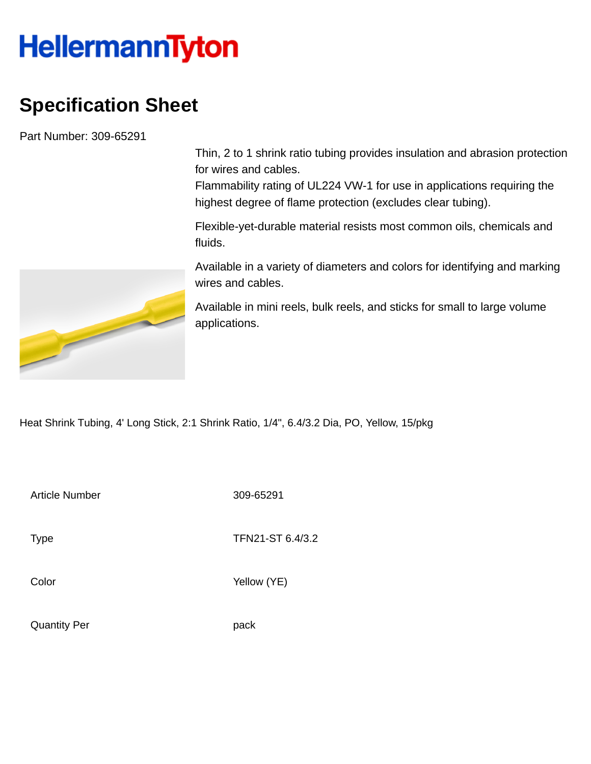## **HellermannTyton**

## **Specification Sheet**

Part Number: 309-65291

Thin, 2 to 1 shrink ratio tubing provides insulation and abrasion protection for wires and cables.

Flammability rating of UL224 VW-1 for use in applications requiring the highest degree of flame protection (excludes clear tubing).

Flexible-yet-durable material resists most common oils, chemicals and fluids.

Available in a variety of diameters and colors for identifying and marking wires and cables.

Available in mini reels, bulk reels, and sticks for small to large volume applications.

Heat Shrink Tubing, 4' Long Stick, 2:1 Shrink Ratio, 1/4", 6.4/3.2 Dia, PO, Yellow, 15/pkg

Article Number 309-65291

Type **TFN21-ST 6.4/3.2** 

Color Yellow (YE)

Quantity Per **pack** 

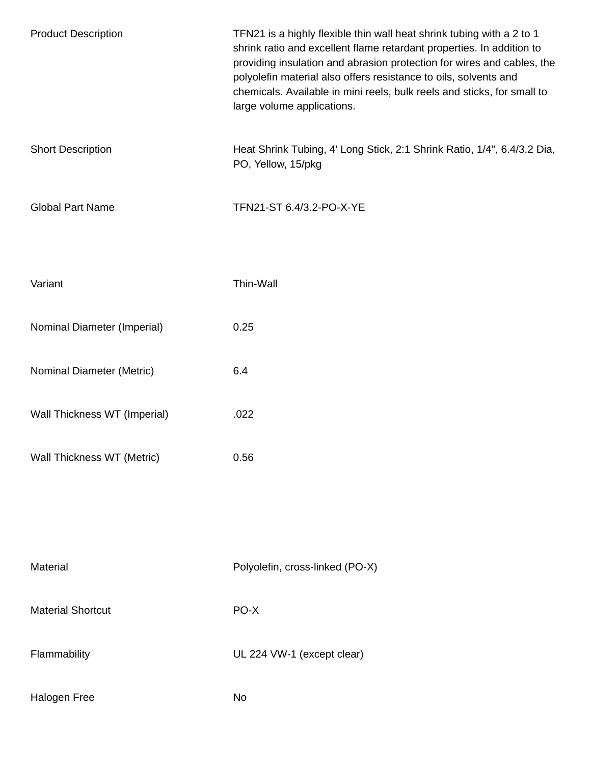| <b>Product Description</b>   | TFN21 is a highly flexible thin wall heat shrink tubing with a 2 to 1<br>shrink ratio and excellent flame retardant properties. In addition to<br>providing insulation and abrasion protection for wires and cables, the<br>polyolefin material also offers resistance to oils, solvents and<br>chemicals. Available in mini reels, bulk reels and sticks, for small to<br>large volume applications. |
|------------------------------|-------------------------------------------------------------------------------------------------------------------------------------------------------------------------------------------------------------------------------------------------------------------------------------------------------------------------------------------------------------------------------------------------------|
| <b>Short Description</b>     | Heat Shrink Tubing, 4' Long Stick, 2:1 Shrink Ratio, 1/4", 6.4/3.2 Dia,<br>PO, Yellow, 15/pkg                                                                                                                                                                                                                                                                                                         |
| <b>Global Part Name</b>      | TFN21-ST 6.4/3.2-PO-X-YE                                                                                                                                                                                                                                                                                                                                                                              |
| Variant                      | Thin-Wall                                                                                                                                                                                                                                                                                                                                                                                             |
| Nominal Diameter (Imperial)  | 0.25                                                                                                                                                                                                                                                                                                                                                                                                  |
| Nominal Diameter (Metric)    | 6.4                                                                                                                                                                                                                                                                                                                                                                                                   |
| Wall Thickness WT (Imperial) | .022                                                                                                                                                                                                                                                                                                                                                                                                  |
| Wall Thickness WT (Metric)   | 0.56                                                                                                                                                                                                                                                                                                                                                                                                  |
|                              |                                                                                                                                                                                                                                                                                                                                                                                                       |
| Material                     | Polyolefin, cross-linked (PO-X)                                                                                                                                                                                                                                                                                                                                                                       |
| <b>Material Shortcut</b>     | PO-X                                                                                                                                                                                                                                                                                                                                                                                                  |
| Flammability                 | UL 224 VW-1 (except clear)                                                                                                                                                                                                                                                                                                                                                                            |
| Halogen Free                 | No                                                                                                                                                                                                                                                                                                                                                                                                    |